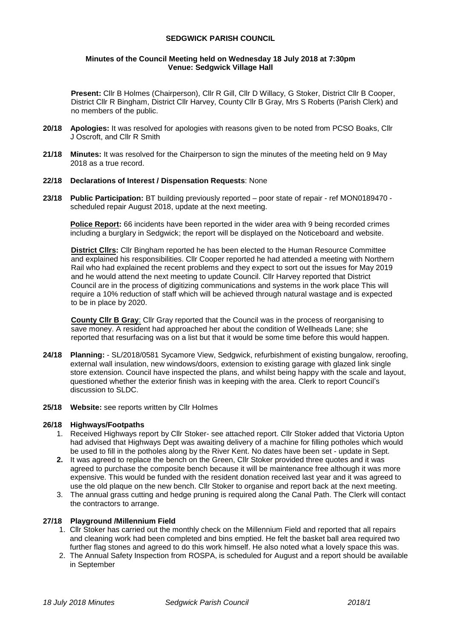## **SEDGWICK PARISH COUNCIL**

#### **Minutes of the Council Meeting held on Wednesday 18 July 2018 at 7:30pm Venue: Sedgwick Village Hall**

**Present:** Cllr B Holmes (Chairperson), Cllr R Gill, Cllr D Willacy, G Stoker, District Cllr B Cooper, District Cllr R Bingham, District Cllr Harvey, County Cllr B Gray, Mrs S Roberts (Parish Clerk) and no members of the public.

- **20/18 Apologies:** It was resolved for apologies with reasons given to be noted from PCSO Boaks, Cllr J Oscroft, and Cllr R Smith
- **21/18 Minutes:** It was resolved for the Chairperson to sign the minutes of the meeting held on 9 May 2018 as a true record.

## **22/18 Declarations of Interest / Dispensation Requests**: None

**23/18 Public Participation:** BT building previously reported – poor state of repair - ref MON0189470 scheduled repair August 2018, update at the next meeting.

**Police Report:** 66 incidents have been reported in the wider area with 9 being recorded crimes including a burglary in Sedgwick; the report will be displayed on the Noticeboard and website.

**District Cllrs:** Cllr Bingham reported he has been elected to the Human Resource Committee and explained his responsibilities. Cllr Cooper reported he had attended a meeting with Northern Rail who had explained the recent problems and they expect to sort out the issues for May 2019 and he would attend the next meeting to update Council. Cllr Harvey reported that District Council are in the process of digitizing communications and systems in the work place This will require a 10% reduction of staff which will be achieved through natural wastage and is expected to be in place by 2020.

**County Cllr B Gray**: Cllr Gray reported that the Council was in the process of reorganising to save money. A resident had approached her about the condition of Wellheads Lane; she reported that resurfacing was on a list but that it would be some time before this would happen.

- **24/18 Planning:**  SL/2018/0581 Sycamore View, Sedgwick, refurbishment of existing bungalow, reroofing, external wall insulation, new windows/doors, extension to existing garage with glazed link single store extension. Council have inspected the plans, and whilst being happy with the scale and layout, questioned whether the exterior finish was in keeping with the area. Clerk to report Council's discussion to SLDC.
- **25/18 Website:** see reports written by Cllr Holmes

## **26/18 Highways/Footpaths**

- 1. Received Highways report by Cllr Stoker- see attached report. Cllr Stoker added that Victoria Upton had advised that Highways Dept was awaiting delivery of a machine for filling potholes which would be used to fill in the potholes along by the River Kent. No dates have been set - update in Sept.
- **2.** It was agreed to replace the bench on the Green, Cllr Stoker provided three quotes and it was agreed to purchase the composite bench because it will be maintenance free although it was more expensive. This would be funded with the resident donation received last year and it was agreed to use the old plaque on the new bench. Cllr Stoker to organise and report back at the next meeting.
- 3. The annual grass cutting and hedge pruning is required along the Canal Path. The Clerk will contact the contractors to arrange.

#### **27/18 Playground /Millennium Field**

- 1. Cllr Stoker has carried out the monthly check on the Millennium Field and reported that all repairs and cleaning work had been completed and bins emptied. He felt the basket ball area required two further flag stones and agreed to do this work himself. He also noted what a lovely space this was.
- 2. The Annual Safety Inspection from ROSPA, is scheduled for August and a report should be available in September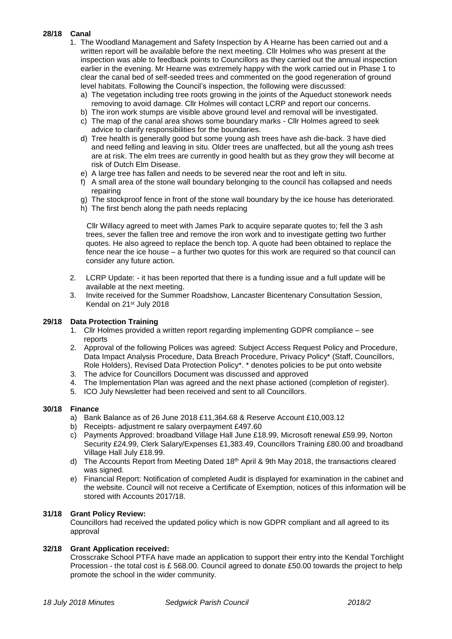# **28/18 Canal**

- 1. The Woodland Management and Safety Inspection by A Hearne has been carried out and a written report will be available before the next meeting. Cllr Holmes who was present at the inspection was able to feedback points to Councillors as they carried out the annual inspection earlier in the evening. Mr Hearne was extremely happy with the work carried out in Phase 1 to clear the canal bed of self-seeded trees and commented on the good regeneration of ground level habitats. Following the Council's inspection, the following were discussed:
	- a) The vegetation including tree roots growing in the joints of the Aqueduct stonework needs removing to avoid damage. Cllr Holmes will contact LCRP and report our concerns.
	- b) The iron work stumps are visible above ground level and removal will be investigated.
	- c) The map of the canal area shows some boundary marks Cllr Holmes agreed to seek advice to clarify responsibilities for the boundaries.
	- d) Tree health is generally good but some young ash trees have ash die-back. 3 have died and need felling and leaving in situ. Older trees are unaffected, but all the young ash trees are at risk. The elm trees are currently in good health but as they grow they will become at risk of Dutch Elm Disease.
	- e) A large tree has fallen and needs to be severed near the root and left in situ.
	- f) A small area of the stone wall boundary belonging to the council has collapsed and needs repairing
	- g) The stockproof fence in front of the stone wall boundary by the ice house has deteriorated.
	- h) The first bench along the path needs replacing

 Cllr Willacy agreed to meet with James Park to acquire separate quotes to; fell the 3 ash trees, sever the fallen tree and remove the iron work and to investigate getting two further quotes. He also agreed to replace the bench top. A quote had been obtained to replace the fence near the ice house – a further two quotes for this work are required so that council can consider any future action.

- 2. LCRP Update: it has been reported that there is a funding issue and a full update will be available at the next meeting.
- 3. Invite received for the Summer Roadshow, Lancaster Bicentenary Consultation Session, Kendal on 21st July 2018

## **29/18 Data Protection Training**

- 1. Cllr Holmes provided a written report regarding implementing GDPR compliance see reports
- 2. Approval of the following Polices was agreed: Subject Access Request Policy and Procedure, Data Impact Analysis Procedure, Data Breach Procedure, Privacy Policy\* (Staff, Councillors, Role Holders), Revised Data Protection Policy\*. \* denotes policies to be put onto website
- 3. The advice for Councillors Document was discussed and approved
- 4. The Implementation Plan was agreed and the next phase actioned (completion of register).
- 5. ICO July Newsletter had been received and sent to all Councillors.

#### **30/18 Finance**

- a) Bank Balance as of 26 June 2018 £11,364.68 & Reserve Account £10,003.12
- b) Receipts- adjustment re salary overpayment £497.60
- c) Payments Approved: broadband Village Hall June £18.99, Microsoft renewal £59.99, Norton Security £24.99, Clerk Salary/Expenses £1,383.49, Councillors Training £80.00 and broadband Village Hall July £18.99.
- d) The Accounts Report from Meeting Dated 18<sup>th</sup> April & 9th May 2018, the transactions cleared was signed.
- e) Financial Report: Notification of completed Audit is displayed for examination in the cabinet and the website. Council will not receive a Certificate of Exemption, notices of this information will be stored with Accounts 2017/18.

#### **31/18 Grant Policy Review:**

Councillors had received the updated policy which is now GDPR compliant and all agreed to its approval

## **32/18 Grant Application received:**

Crosscrake School PTFA have made an application to support their entry into the Kendal Torchlight Procession - the total cost is £ 568.00. Council agreed to donate £50.00 towards the project to help promote the school in the wider community.